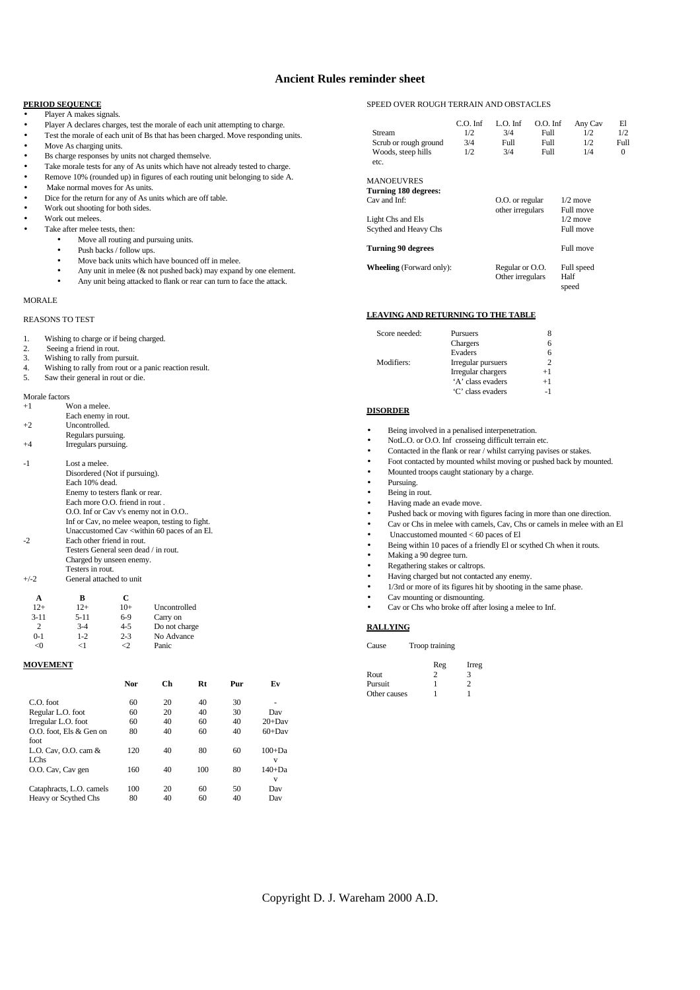## **Ancient Rules reminder sheet**

## **PERIOD SEQUENCE**

| Player A makes signals. |  |
|-------------------------|--|
|-------------------------|--|

- Player A declares charges, test the morale of each unit attempting to charge.
- Test the morale of each unit of Bs that has been charged. Move responding units.
- Move As charging units.
- Bs charge responses by units not charged themselve.
- Take morale tests for any of As units which have not already tested to charge.
- Remove 10% (rounded up) in figures of each routing unit belonging to side A.
- Make normal moves for As units.
- Dice for the return for any of As units which are off table.
- Work out shooting for both sides.
- Work out melees.
	- Take after melee tests, then:
		- Move all routing and pursuing units.
		- Push backs / follow ups.
		- Move back units which have bounced off in melee.
		- Any unit in melee ( $&$  not pushed back) may expand by one element.
		- Any unit being attacked to flank or rear can turn to face the attack.

#### MORALE

#### REASONS TO TEST

| -1. |  | Wishing to charge or if being charged. |
|-----|--|----------------------------------------|
|-----|--|----------------------------------------|

- 2. Seeing a friend in rout.
- 3. Wishing to rally from pursuit.<br>4. Wishing to rally from rout or a
- 4. Wishing to rally from rout or a panic reaction result.<br>5. Saw their general in rout or die.
- Saw their general in rout or die.

# Morale factors

| $^{+1}$  | Won a melee.                                   |                                      |                                                                                      |  |  |  |  |
|----------|------------------------------------------------|--------------------------------------|--------------------------------------------------------------------------------------|--|--|--|--|
|          | Each enemy in rout.                            |                                      |                                                                                      |  |  |  |  |
| $+2$     | Uncontrolled.                                  |                                      |                                                                                      |  |  |  |  |
|          | Regulars pursuing.                             |                                      |                                                                                      |  |  |  |  |
| $^{+4}$  | Irregulars pursuing.                           |                                      |                                                                                      |  |  |  |  |
|          |                                                |                                      |                                                                                      |  |  |  |  |
| $-1$     | Lost a melee.                                  |                                      |                                                                                      |  |  |  |  |
|          |                                                | Disordered (Not if pursuing).        |                                                                                      |  |  |  |  |
|          | Each 10% dead.                                 |                                      |                                                                                      |  |  |  |  |
|          |                                                | Enemy to testers flank or rear.      |                                                                                      |  |  |  |  |
|          |                                                | Each more O.O. friend in rout.       |                                                                                      |  |  |  |  |
|          |                                                |                                      | O.O. Inf or Cav v's enemy not in O.O                                                 |  |  |  |  |
|          | Inf or Cav, no melee weapon, testing to fight. |                                      |                                                                                      |  |  |  |  |
|          |                                                |                                      | Unaccustomed Cav <within 60="" an="" el.<="" of="" paces="" th=""><th></th></within> |  |  |  |  |
| $-2$     |                                                | Each other friend in rout.           |                                                                                      |  |  |  |  |
|          |                                                | Testers General seen dead / in rout. |                                                                                      |  |  |  |  |
|          |                                                | Charged by unseen enemy.             |                                                                                      |  |  |  |  |
|          | Testers in rout.                               |                                      |                                                                                      |  |  |  |  |
| $+/-2$   | General attached to unit                       |                                      |                                                                                      |  |  |  |  |
|          |                                                |                                      |                                                                                      |  |  |  |  |
| A        | R                                              | C                                    |                                                                                      |  |  |  |  |
| $12+$    | $12+$                                          | $10+$                                | Uncontrolled                                                                         |  |  |  |  |
| $3 - 11$ | $5 - 11$                                       | $6-9$                                | Carry on                                                                             |  |  |  |  |

|       | $3-4$   | $4 - 5$ | Do not charge |
|-------|---------|---------|---------------|
| $0-1$ | $1 - 2$ | $2 - 3$ | No Advance    |
| ⊲0    | -1      | ╱       | Panic         |
|       |         |         |               |

## **MOVEMENT**

|                          | Nor | $\mathbf C$ h | Rt  | Pur | Ev        |
|--------------------------|-----|---------------|-----|-----|-----------|
| $C.O.$ foot              | 60  | 20            | 40  | 30  |           |
| Regular L.O. foot        | 60  | 20            | 40  | 30  | Dav       |
| Irregular L.O. foot      | 60  | 40            | 60  | 40  | $20+$ Dav |
| O.O. foot, Els & Gen on  | 80  | 40            | 60  | 40  | $60+$ Dav |
| foot                     |     |               |     |     |           |
| L.O. Cav, O.O. cam $&$   | 120 | 40            | 80  | 60  | $100+Da$  |
| LChs                     |     |               |     |     | v         |
| O.O. Cav, Cav gen        | 160 | 40            | 100 | 80  | $140+Da$  |
|                          |     |               |     |     | v         |
| Cataphracts, L.O. camels | 100 | 20            | 60  | 50  | Dav       |
| Heavy or Scythed Chs     | 80  | 40            | 60  | 40  | Dav       |

## SPEED OVER ROUGH TERRAIN AND OBSTACLES

| Stream<br>Scrub or rough ground<br>Woods, steep hills<br>etc. | $C.O.$ Inf<br>1/2<br>3/4<br>1/2 | $L.O.$ Inf<br>3/4<br>Full<br>3/4    | $O.O.$ Inf<br>Full.<br>Full.<br>Full | Any Cav<br>1/2<br>1/2<br>1/4         | E1<br>1/2<br>Full<br>$\Omega$ |
|---------------------------------------------------------------|---------------------------------|-------------------------------------|--------------------------------------|--------------------------------------|-------------------------------|
| <b>MANOEUVRES</b><br>Turning 180 degrees:<br>Cav and Inf:     |                                 | O.O. or regular                     |                                      | $1/2$ move                           |                               |
| Light Chs and Els<br>Scythed and Heavy Chs                    |                                 | other irregulars                    |                                      | Full move<br>$1/2$ move<br>Full move |                               |
| <b>Turning 90 degrees</b>                                     |                                 |                                     |                                      | Full move                            |                               |
| <b>Wheeling</b> (Forward only):                               |                                 | Regular or O.O.<br>Other irregulars |                                      | Full speed<br>Half<br>speed          |                               |

## **LEAVING AND RETURNING TO THE TABLE**

| Score needed: | Pursuers           |                |
|---------------|--------------------|----------------|
|               | Chargers           | 6              |
|               | Evaders            | 6              |
| Modifiers:    | Irregular pursuers | $\mathfrak{D}$ |
|               | Irregular chargers | $+1$           |
|               | 'A' class evaders  | $+1$           |
|               | 'C' class evaders  | $-1$           |
|               |                    |                |

# **DISORDER**

- Being involved in a penalised interpenetration.
- NotL.O. or O.O. Inf crosseing difficult terrain etc.
- Contacted in the flank or rear / whilst carrying pavises or stakes.
- Foot contacted by mounted whilst moving or pushed back by mounted.
- Mounted troops caught stationary by a charge.
- Pursuing.
- Being in rout.
- Having made an evade move.
- 
- Pushed back or moving with figures facing in more than one direction.
- Cav or Chs in melee with camels, Cav, Chs or camels in melee with an El
- Unaccustomed mounted < 60 paces of El Being within 10 paces of a friendly El or scythed Ch when it routs.
- 
- Making a 90 degree turn.
- Regathering stakes or caltrops.
- Having charged but not contacted any enemy.
- 1/3rd or more of its figures hit by shooting in the same phase.
- Cav mounting or dismounting.
- Cav or Chs who broke off after losing a melee to Inf.

#### **RALLYING**

#### Cause Troop training

| Reg | Irreg |
|-----|-------|
|     |       |
|     |       |
|     |       |
|     |       |